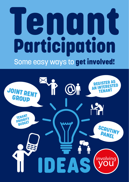### entini Participation Some easy ways to get involved!

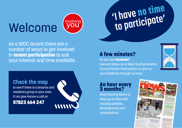## Welcome



As a WDC tenant there are a number of ways to get involved in **tenant participation** to suit your interest and time available.

#### **Check the map**

to see if there is a tenants and residents group in your area. If not give Hanne a call on

07823 664 247



### A few minutes?

Do you use Facebook? Like and follow us at West Dunbartonshire Council Tenant Participation or give us your feedback through surveys.

**'I have** no time

**to participate'**

### An hour every 3 months?

Read Housing News to keep up-to-date with housing updates, developments and consultations.



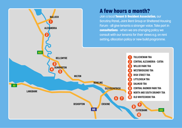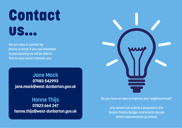## Contact us...

We are easy to contact by phone or email. If you are interested in participating we will be able to find an area which interests you.

> **Jane Mack 07983 542993 jane.mack@west-dunbarton.gov.uk**

**Hanne Thijs 07823 664 247 hanne.thijs@west-dunbarton.gov.uk**



Do you have an idea to improve your neighbourhood?

Any tenant can submit a proposal to the Tenant Priority Budget and tenants decide which improvements go ahead.